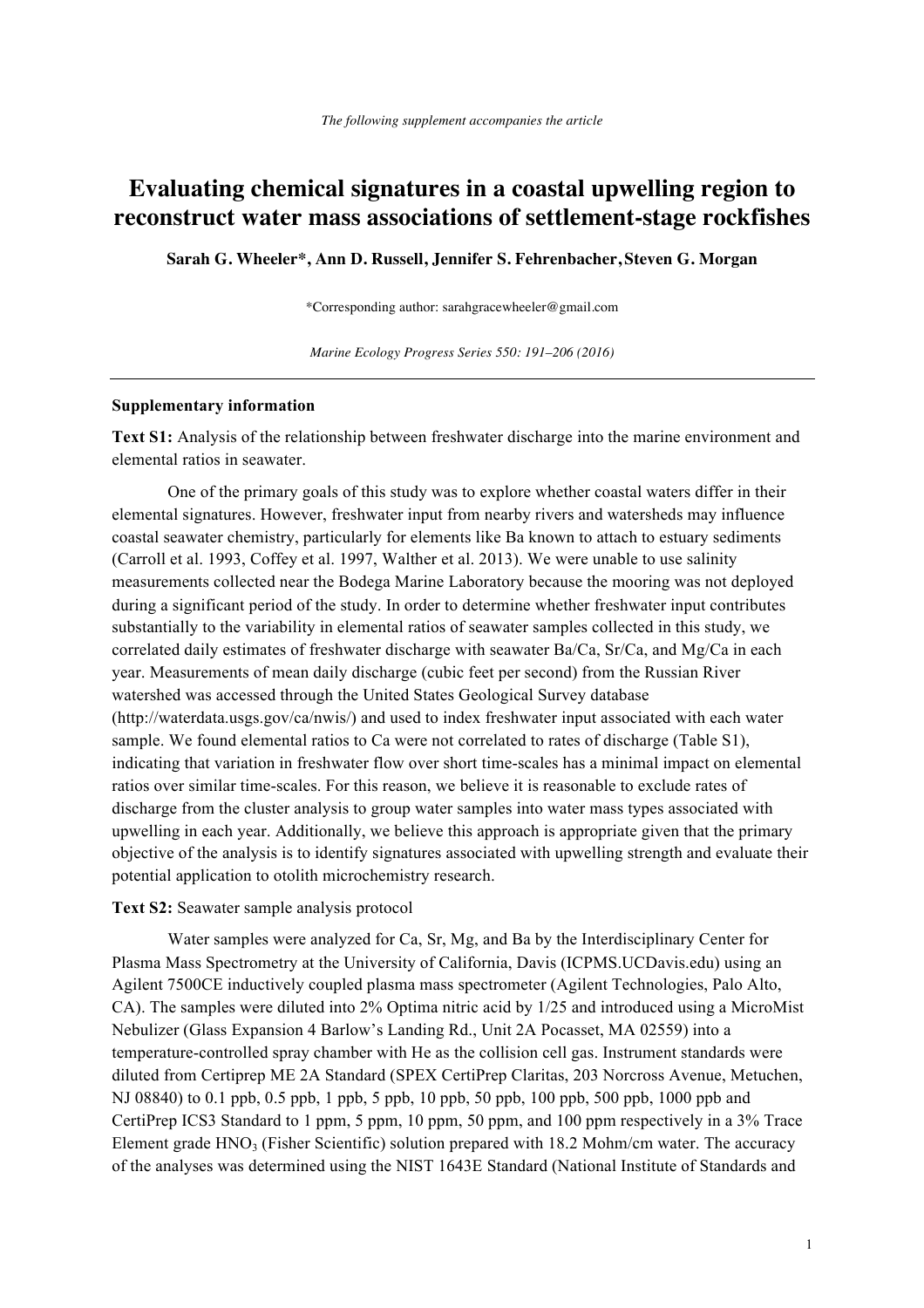## **Evaluating chemical signatures in a coastal upwelling region to reconstruct water mass associations of settlement-stage rockfishes**

**Sarah G. Wheeler\*, Ann D. Russell, Jennifer S. Fehrenbacher, Steven G. Morgan** 

\*Corresponding author: sarahgracewheeler@gmail.com

*Marine Ecology Progress Series 550: 191–206 (2016)* 

## **Supplementary information**

**Text S1:** Analysis of the relationship between freshwater discharge into the marine environment and elemental ratios in seawater.

One of the primary goals of this study was to explore whether coastal waters differ in their elemental signatures. However, freshwater input from nearby rivers and watersheds may influence coastal seawater chemistry, particularly for elements like Ba known to attach to estuary sediments (Carroll et al. 1993, Coffey et al. 1997, Walther et al. 2013). We were unable to use salinity measurements collected near the Bodega Marine Laboratory because the mooring was not deployed during a significant period of the study. In order to determine whether freshwater input contributes substantially to the variability in elemental ratios of seawater samples collected in this study, we correlated daily estimates of freshwater discharge with seawater Ba/Ca,  $Sr/Ca$ , and  $Mg/Ca$  in each year. Measurements of mean daily discharge (cubic feet per second) from the Russian River watershed was accessed through the United States Geological Survey database (http://waterdata.usgs.gov/ca/nwis/) and used to index freshwater input associated with each water sample. We found elemental ratios to Ca were not correlated to rates of discharge (Table S1), indicating that variation in freshwater flow over short time-scales has a minimal impact on elemental ratios over similar time-scales. For this reason, we believe it is reasonable to exclude rates of discharge from the cluster analysis to group water samples into water mass types associated with upwelling in each year. Additionally, we believe this approach is appropriate given that the primary objective of the analysis is to identify signatures associated with upwelling strength and evaluate their potential application to otolith microchemistry research.

**Text S2:** Seawater sample analysis protocol

Water samples were analyzed for Ca, Sr, Mg, and Ba by the Interdisciplinary Center for Plasma Mass Spectrometry at the University of California, Davis (ICPMS.UCDavis.edu) using an Agilent 7500CE inductively coupled plasma mass spectrometer (Agilent Technologies, Palo Alto, CA). The samples were diluted into 2% Optima nitric acid by 1/25 and introduced using a MicroMist Nebulizer (Glass Expansion 4 Barlow's Landing Rd., Unit 2A Pocasset, MA 02559) into a temperature-controlled spray chamber with He as the collision cell gas. Instrument standards were diluted from Certiprep ME 2A Standard (SPEX CertiPrep Claritas, 203 Norcross Avenue, Metuchen, NJ 08840) to 0.1 ppb, 0.5 ppb, 1 ppb, 5 ppb, 10 ppb, 50 ppb, 100 ppb, 500 ppb, 1000 ppb and CertiPrep ICS3 Standard to 1 ppm, 5 ppm, 10 ppm, 50 ppm, and 100 ppm respectively in a 3% Trace Element grade  $HNO<sub>3</sub>$  (Fisher Scientific) solution prepared with 18.2 Mohm/cm water. The accuracy of the analyses was determined using the NIST 1643E Standard (National Institute of Standards and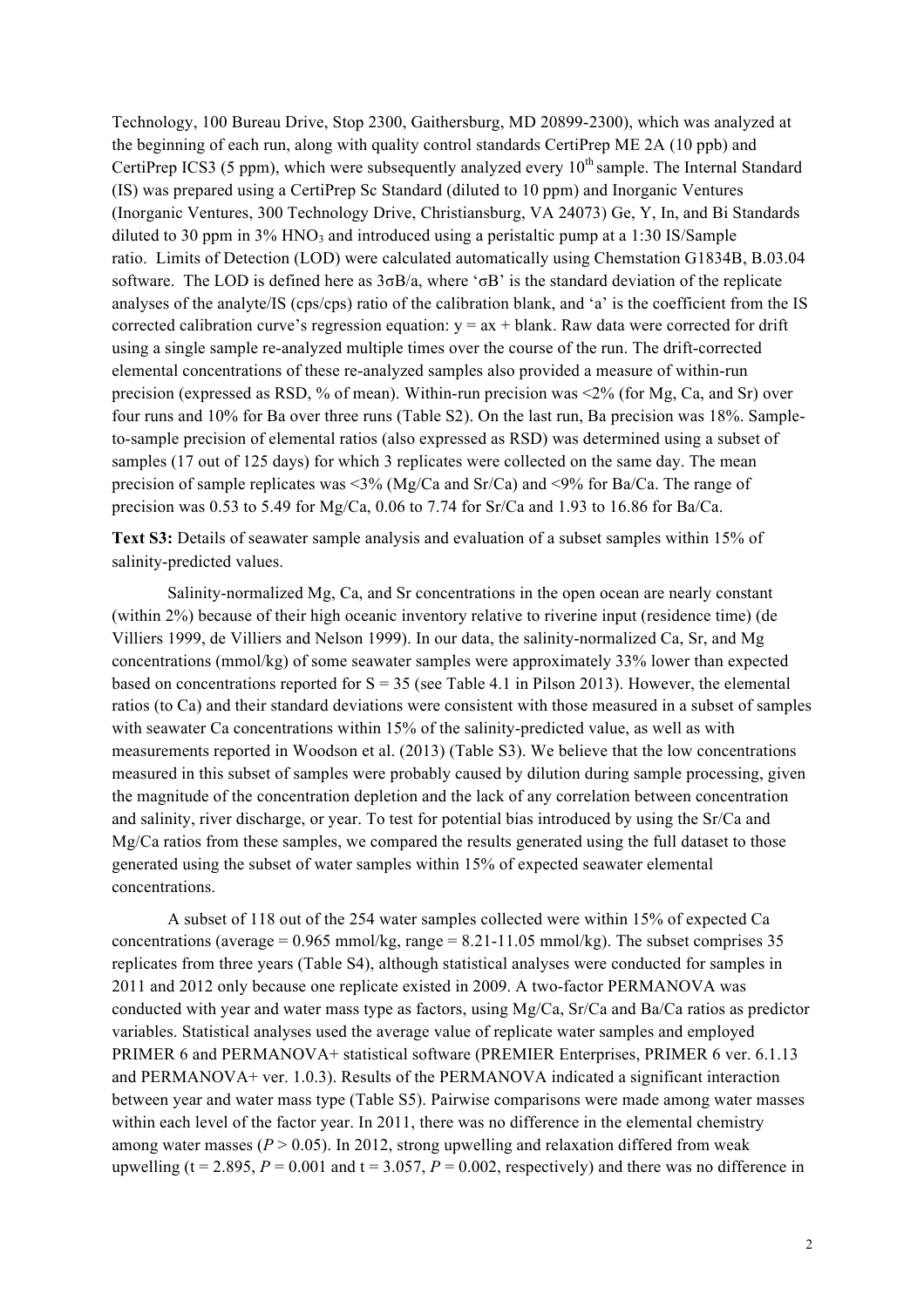Technology, 100 Bureau Drive, Stop 2300, Gaithersburg, MD 20899-2300), which was analyzed at the beginning of each run, along with quality control standards CertiPrep ME 2A (10 ppb) and CertiPrep ICS3 (5 ppm), which were subsequently analyzed every  $10<sup>th</sup>$  sample. The Internal Standard (IS) was prepared using a CertiPrep Sc Standard (diluted to 10 ppm) and Inorganic Ventures (Inorganic Ventures, 300 Technology Drive, Christiansburg, VA 24073) Ge, Y, In, and Bi Standards diluted to 30 ppm in  $3\%$  HNO<sub>3</sub> and introduced using a peristaltic pump at a 1:30 IS/Sample ratio. Limits of Detection (LOD) were calculated automatically using Chemstation G1834B, B.03.04 software. The LOD is defined here as 3σB/a, where 'σB' is the standard deviation of the replicate analyses of the analyte/IS (cps/cps) ratio of the calibration blank, and 'a' is the coefficient from the IS corrected calibration curve's regression equation:  $y = ax + blank$ . Raw data were corrected for drift using a single sample re-analyzed multiple times over the course of the run. The drift-corrected elemental concentrations of these re-analyzed samples also provided a measure of within-run precision (expressed as RSD, % of mean). Within-run precision was <2% (for Mg, Ca, and Sr) over four runs and 10% for Ba over three runs (Table S2). On the last run, Ba precision was 18%. Sampleto-sample precision of elemental ratios (also expressed as RSD) was determined using a subset of samples (17 out of 125 days) for which 3 replicates were collected on the same day. The mean precision of sample replicates was <3% (Mg/Ca and Sr/Ca) and <9% for Ba/Ca. The range of precision was 0.53 to 5.49 for Mg/Ca, 0.06 to 7.74 for Sr/Ca and 1.93 to 16.86 for Ba/Ca.

**Text S3:** Details of seawater sample analysis and evaluation of a subset samples within 15% of salinity-predicted values.

Salinity-normalized Mg, Ca, and Sr concentrations in the open ocean are nearly constant (within 2%) because of their high oceanic inventory relative to riverine input (residence time) (de Villiers 1999, de Villiers and Nelson 1999). In our data, the salinity-normalized Ca, Sr, and Mg concentrations (mmol/kg) of some seawater samples were approximately 33% lower than expected based on concentrations reported for  $S = 35$  (see Table 4.1 in Pilson 2013). However, the elemental ratios (to Ca) and their standard deviations were consistent with those measured in a subset of samples with seawater Ca concentrations within 15% of the salinity-predicted value, as well as with measurements reported in Woodson et al. (2013) (Table S3). We believe that the low concentrations measured in this subset of samples were probably caused by dilution during sample processing, given the magnitude of the concentration depletion and the lack of any correlation between concentration and salinity, river discharge, or year. To test for potential bias introduced by using the Sr/Ca and Mg/Ca ratios from these samples, we compared the results generated using the full dataset to those generated using the subset of water samples within 15% of expected seawater elemental concentrations.

A subset of 118 out of the 254 water samples collected were within 15% of expected Ca concentrations (average =  $0.965$  mmol/kg, range =  $8.21$ -11.05 mmol/kg). The subset comprises 35 replicates from three years (Table S4), although statistical analyses were conducted for samples in 2011 and 2012 only because one replicate existed in 2009. A two-factor PERMANOVA was conducted with year and water mass type as factors, using Mg/Ca, Sr/Ca and Ba/Ca ratios as predictor variables. Statistical analyses used the average value of replicate water samples and employed PRIMER 6 and PERMANOVA+ statistical software (PREMIER Enterprises, PRIMER 6 ver. 6.1.13 and PERMANOVA+ ver. 1.0.3). Results of the PERMANOVA indicated a significant interaction between year and water mass type (Table S5). Pairwise comparisons were made among water masses within each level of the factor year. In 2011, there was no difference in the elemental chemistry among water masses  $(P > 0.05)$ . In 2012, strong upwelling and relaxation differed from weak upwelling ( $t = 2.895$ ,  $P = 0.001$  and  $t = 3.057$ ,  $P = 0.002$ , respectively) and there was no difference in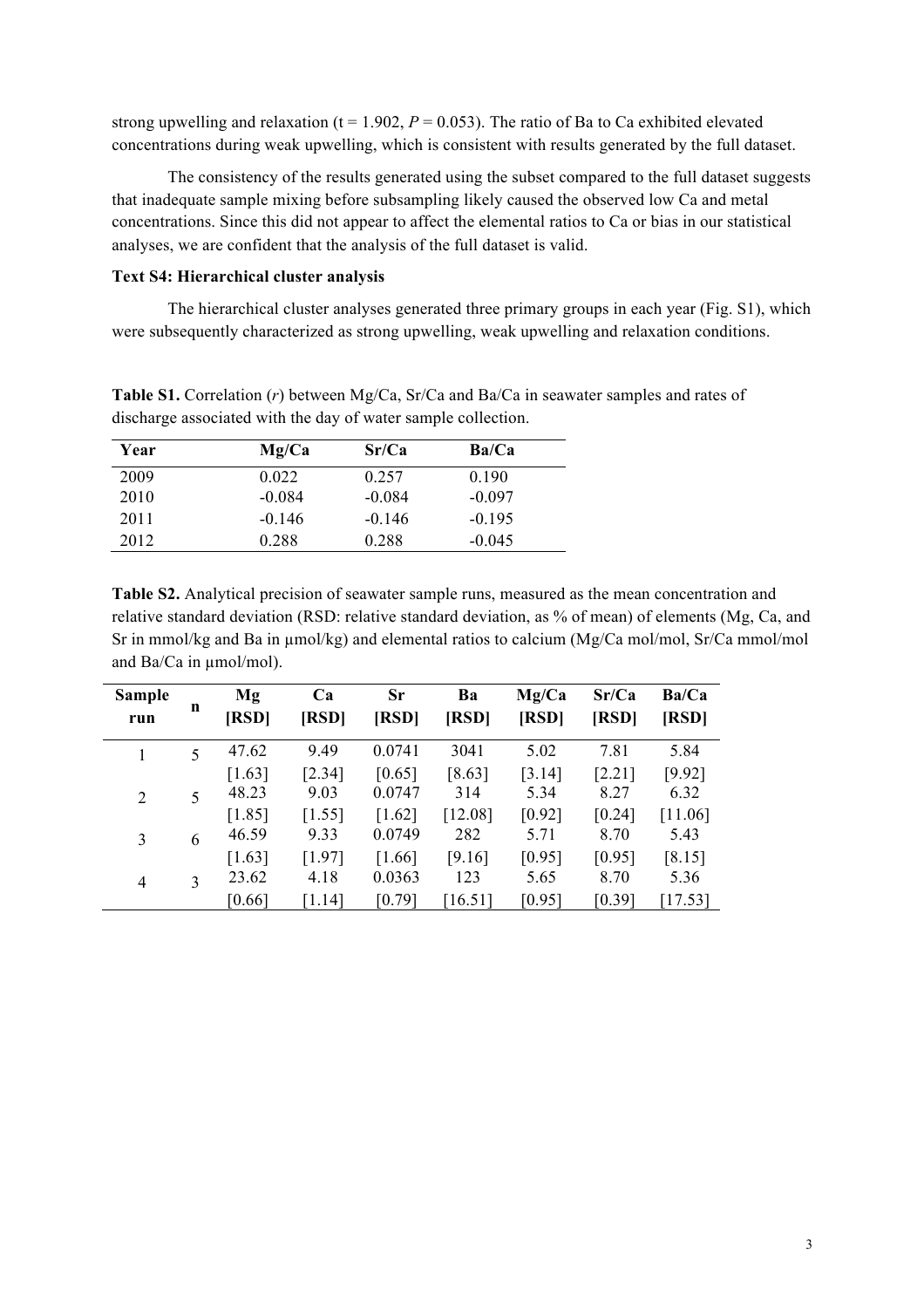strong upwelling and relaxation ( $t = 1.902$ ,  $P = 0.053$ ). The ratio of Ba to Ca exhibited elevated concentrations during weak upwelling, which is consistent with results generated by the full dataset.

The consistency of the results generated using the subset compared to the full dataset suggests that inadequate sample mixing before subsampling likely caused the observed low Ca and metal concentrations. Since this did not appear to affect the elemental ratios to Ca or bias in our statistical analyses, we are confident that the analysis of the full dataset is valid.

## **Text S4: Hierarchical cluster analysis**

The hierarchical cluster analyses generated three primary groups in each year (Fig. S1), which were subsequently characterized as strong upwelling, weak upwelling and relaxation conditions.

**Table S1.** Correlation (*r*) between Mg/Ca, Sr/Ca and Ba/Ca in seawater samples and rates of discharge associated with the day of water sample collection.

| Year | Mg/Ca    | Sr/Ca    | Ba/Ca    |  |
|------|----------|----------|----------|--|
| 2009 | 0.022    | 0.257    | 0.190    |  |
| 2010 | $-0.084$ | $-0.084$ | $-0.097$ |  |
| 2011 | $-0.146$ | $-0.146$ | $-0.195$ |  |
| 2012 | 0.288    | 0.288    | $-0.045$ |  |

**Table S2.** Analytical precision of seawater sample runs, measured as the mean concentration and relative standard deviation (RSD: relative standard deviation, as % of mean) of elements (Mg, Ca, and Sr in mmol/kg and Ba in  $\mu$ mol/kg) and elemental ratios to calcium (Mg/Ca mol/mol, Sr/Ca mmol/mol and Ba/Ca in µmol/mol).

| Sample<br>run | n | Mg<br>[RSD]     | Ca<br>[RSD]    | Sr<br>[RSD]      | Ba<br>[RSD]   | Mg/Ca<br>[RSD] | Sr/Ca<br>[RSD] | Ba/Ca<br>[RSD] |
|---------------|---|-----------------|----------------|------------------|---------------|----------------|----------------|----------------|
| 1             | 5 | 47.62           | 9.49           | 0.0741           | 3041          | 5.02           | 7.81           | 5.84           |
| 2             | 5 | [1.63]<br>48.23 | [2.34]<br>9.03 | [0.65]<br>0.0747 | [8.63]<br>314 | [3.14]<br>5.34 | [2.21]<br>8.27 | [9.92]<br>6.32 |
|               |   | [1.85]          | [1.55]         | [1.62]           | [12.08]       | [0.92]         | [0.24]         | [11.06]        |
| 3             | 6 | 46.59           | 9.33           | 0.0749           | 282           | 5.71           | 8.70           | 5.43           |
|               |   | [1.63]          | [1.97]         | [1.66]           | [9.16]        | [0.95]         | [0.95]         | [8.15]         |
| 4             | 3 | 23.62           | 4.18           | 0.0363           | 123           | 5.65           | 8.70           | 5.36           |
|               |   | [0.66]          | [1.14]         | [0.79]           | [16.51]       | [0.95]         | [0.39]         | [17.53]        |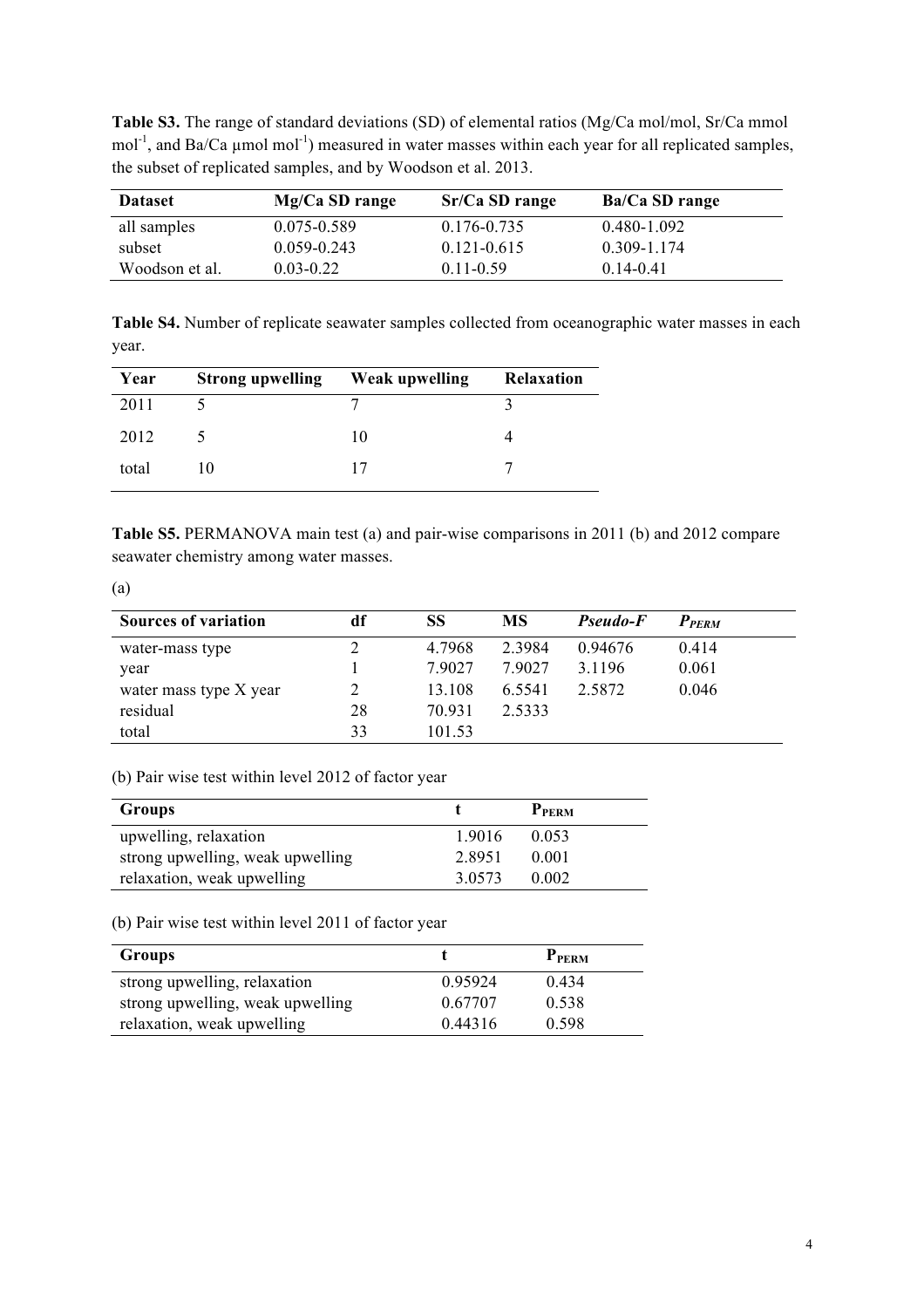**Table S3.** The range of standard deviations (SD) of elemental ratios (Mg/Ca mol/mol, Sr/Ca mmol mol<sup>-1</sup>, and Ba/Ca  $\mu$ mol mol<sup>-1</sup>) measured in water masses within each year for all replicated samples, the subset of replicated samples, and by Woodson et al. 2013.

| <b>Dataset</b> | Mg/Ca SD range  | Sr/Ca SD range  | Ba/Ca SD range |
|----------------|-----------------|-----------------|----------------|
| all samples    | 0.075-0.589     | 0.176-0.735     | 0.480-1.092    |
| subset         | $0.059 - 0.243$ | $0.121 - 0.615$ | 0.309-1.174    |
| Woodson et al. | $0.03 - 0.22$   | $0.11 - 0.59$   | $0.14 - 0.41$  |

**Table S4.** Number of replicate seawater samples collected from oceanographic water masses in each year.

| Year  | Strong upwelling Weak upwelling |    | <b>Relaxation</b> |
|-------|---------------------------------|----|-------------------|
| 2011  |                                 |    |                   |
| 2012  |                                 | 10 |                   |
| total | 10                              |    |                   |

**Table S5.** PERMANOVA main test (a) and pair-wise comparisons in 2011 (b) and 2012 compare seawater chemistry among water masses.

(a)

| <b>Sources of variation</b> | df | SS     | <b>MS</b> | Pseudo-F | $P_{PERM}$ |
|-----------------------------|----|--------|-----------|----------|------------|
| water-mass type             |    | 4.7968 | 2 3 9 8 4 | 0.94676  | 0.414      |
| year                        |    | 79027  | 79027     | 3.1196   | 0.061      |
| water mass type X year      |    | 13.108 | 6.5541    | 2.5872   | 0.046      |
| residual                    | 28 | 70.931 | 2.5333    |          |            |
| total                       | 33 | 101.53 |           |          |            |

(b) Pair wise test within level 2012 of factor year

| Groups                           |           | P <sub>PERM</sub> |
|----------------------------------|-----------|-------------------|
| upwelling, relaxation            | 1.9016    | 0.053             |
| strong upwelling, weak upwelling | 28951     | 0.001             |
| relaxation, weak upwelling       | 3 0 5 7 3 | 0.002             |

(b) Pair wise test within level 2011 of factor year

| <b>Groups</b>                    |         | <b>PPERM</b> |
|----------------------------------|---------|--------------|
| strong upwelling, relaxation     | 0.95924 | 0.434        |
| strong upwelling, weak upwelling | 0.67707 | 0.538        |
| relaxation, weak upwelling       | 0.44316 | 0.598        |